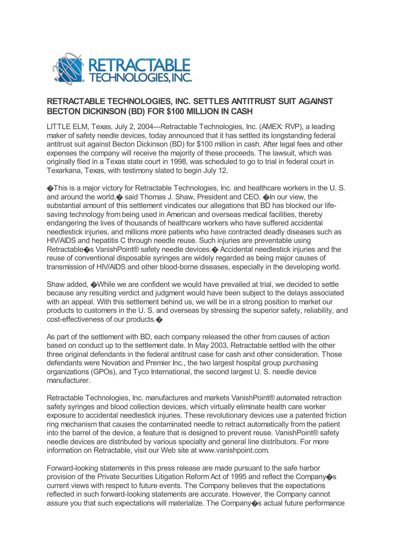

## **RETRACTABLE TECHNOLOGIES, INC. SETTLES ANTITRUST SUIT AGAINST BECTON DICKINSON (BD) FOR \$100 MILLION IN CASH**

LITTLE ELM, Texas, July 2, 2004---Retractable Technologies, Inc. (AMEX: RVP), a leading maker of safety needle devices, today announced that it has settled its longstanding federal antitrust suit against Becton Dickinson (BD) for \$100 million in cash. After legal fees and other expenses the company will receive the majority of these proceeds. The lawsuit, which was originally filed in a Texas state court in 1998, was scheduled to go to trial in federal court in Texarkana, Texas, with testimony slated to begin July 12.

�This is a major victory for Retractable Technologies, Inc. and healthcare workers in the U. S. and around the world,  $\odot$  said Thomas J. Shaw, President and CEO.  $\odot$  In our view, the substantial amount of this settlement vindicates our allegations that BD has blocked our lifesaving technology from being used in American and overseas medical facilities, thereby endangering the lives of thousands of healthcare workers who have suffered accidental needlestick injuries, and millions more patients who have contracted deadly diseases such as HIV/AIDS and hepatitis C through needle reuse. Such injuries are preventable using Retractable�s VanishPoint® safety needle devices.� Accidental needlestick injuries and the reuse of conventional disposable syringes are widely regarded as being major causes of transmission of HIV/AIDS and other blood-borne diseases, especially in the developing world.

Shaw added, �While we are confident we would have prevailed at trial, we decided to settle because any resulting verdict and judgment would have been subject to the delays associated with an appeal. With this settlement behind us, we will be in a strong position to market our products to customers in the U. S. and overseas by stressing the superior safety, reliability, and cost-effectiveness of our products. $\bullet$ 

As part of the settlement with BD, each company released the other from causes of action based on conduct up to the settlement date. In May 2003, Retractable settled with the other three original defendants in the federal antitrust case for cash and other consideration. Those defendants were Novation and Premier Inc., the two largest hospital group purchasing organizations (GPOs), and Tyco International, the second largest U. S. needle device manufacturer.

Retractable Technologies, Inc. manufactures and markets VanishPoint® automated retraction safety syringes and blood collection devices, which virtually eliminate health care worker exposure to accidental needlestick injuries. These revolutionary devices use a patented friction ring mechanism that causes the contaminated needle to retract automatically from the patient into the barrel of the device, a feature that is designed to prevent reuse. VanishPoint® safety needle devices are distributed by various specialty and general line distributors. For more information on Retractable, visit our Web site at www.vanishpoint.com.

Forward-looking statements in this press release are made pursuant to the safe harbor provision of the Private Securities Litigation Reform Act of 1995 and reflect the Company�s current views with respect to future events. The Company believes that the expectations reflected in such forward-looking statements are accurate. However, the Company cannot assure you that such expectations will materialize. The Company�s actual future performance